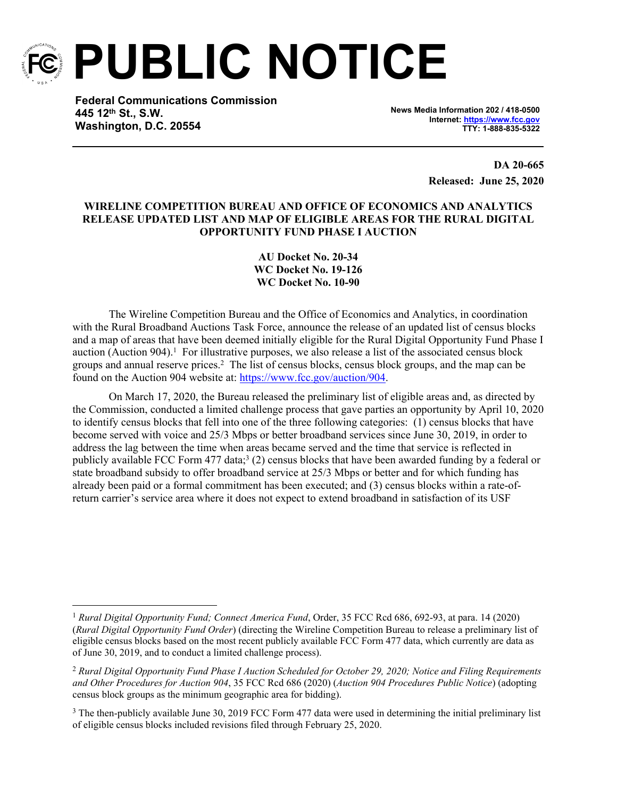

**PUBLIC NOTICE**

**Federal Communications Commission 445 12th St., S.W. Washington, D.C. 20554**

**News Media Information 202 / 418-0500 Internet:<https://www.fcc.gov> TTY: 1-888-835-5322**

> **DA 20-665 Released: June 25, 2020**

## **WIRELINE COMPETITION BUREAU AND OFFICE OF ECONOMICS AND ANALYTICS RELEASE UPDATED LIST AND MAP OF ELIGIBLE AREAS FOR THE RURAL DIGITAL OPPORTUNITY FUND PHASE I AUCTION**

**AU Docket No. 20-34 WC Docket No. 19-126 WC Docket No. 10-90**

The Wireline Competition Bureau and the Office of Economics and Analytics, in coordination with the Rural Broadband Auctions Task Force, announce the release of an updated list of census blocks and a map of areas that have been deemed initially eligible for the Rural Digital Opportunity Fund Phase I auction (Auction 904).<sup>1</sup> For illustrative purposes, we also release a list of the associated census block groups and annual reserve prices.<sup>2</sup> The list of census blocks, census block groups, and the map can be found on the Auction 904 website at: [https://www.fcc.gov/auction/904.](https://www.fcc.gov/auction/904)

On March 17, 2020, the Bureau released the preliminary list of eligible areas and, as directed by the Commission, conducted a limited challenge process that gave parties an opportunity by April 10, 2020 to identify census blocks that fell into one of the three following categories: (1) census blocks that have become served with voice and 25/3 Mbps or better broadband services since June 30, 2019, in order to address the lag between the time when areas became served and the time that service is reflected in publicly available FCC Form 477 data;<sup>3</sup> (2) census blocks that have been awarded funding by a federal or state broadband subsidy to offer broadband service at 25/3 Mbps or better and for which funding has already been paid or a formal commitment has been executed; and (3) census blocks within a rate-ofreturn carrier's service area where it does not expect to extend broadband in satisfaction of its USF

<sup>1</sup> *Rural Digital Opportunity Fund; Connect America Fund*, Order, 35 FCC Rcd 686, 692-93, at para. 14 (2020) (*Rural Digital Opportunity Fund Order*) (directing the Wireline Competition Bureau to release a preliminary list of eligible census blocks based on the most recent publicly available FCC Form 477 data, which currently are data as of June 30, 2019, and to conduct a limited challenge process).

<sup>2</sup> *Rural Digital Opportunity Fund Phase I Auction Scheduled for October 29, 2020; Notice and Filing Requirements and Other Procedures for Auction 904*, 35 FCC Rcd 686 (2020) (*Auction 904 Procedures Public Notice*) (adopting census block groups as the minimum geographic area for bidding).

<sup>&</sup>lt;sup>3</sup> The then-publicly available June 30, 2019 FCC Form 477 data were used in determining the initial preliminary list of eligible census blocks included revisions filed through February 25, 2020.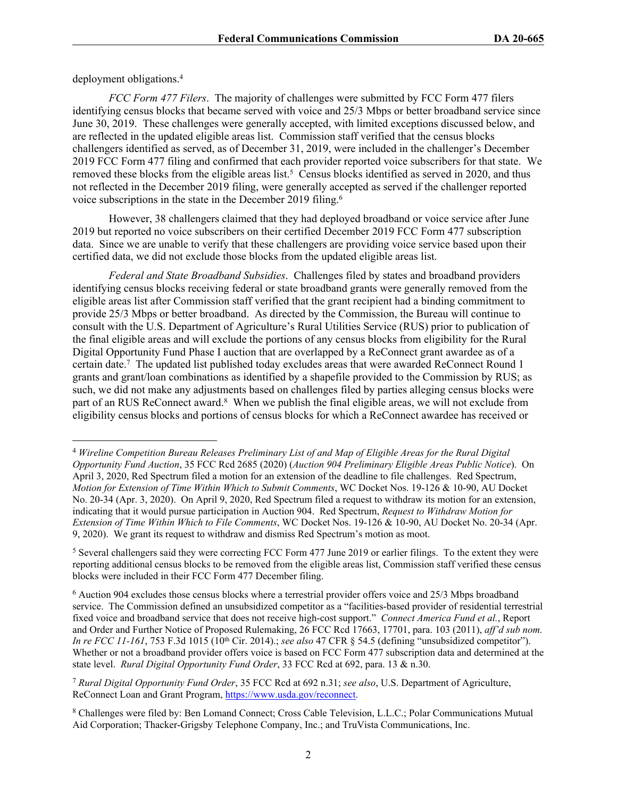deployment obligations.<sup>4</sup>

*FCC Form 477 Filers*. The majority of challenges were submitted by FCC Form 477 filers identifying census blocks that became served with voice and 25/3 Mbps or better broadband service since June 30, 2019. These challenges were generally accepted, with limited exceptions discussed below, and are reflected in the updated eligible areas list. Commission staff verified that the census blocks challengers identified as served, as of December 31, 2019, were included in the challenger's December 2019 FCC Form 477 filing and confirmed that each provider reported voice subscribers for that state. We removed these blocks from the eligible areas list.<sup>5</sup> Census blocks identified as served in 2020, and thus not reflected in the December 2019 filing, were generally accepted as served if the challenger reported voice subscriptions in the state in the December 2019 filing.<sup>6</sup>

However, 38 challengers claimed that they had deployed broadband or voice service after June 2019 but reported no voice subscribers on their certified December 2019 FCC Form 477 subscription data. Since we are unable to verify that these challengers are providing voice service based upon their certified data, we did not exclude those blocks from the updated eligible areas list.

*Federal and State Broadband Subsidies*. Challenges filed by states and broadband providers identifying census blocks receiving federal or state broadband grants were generally removed from the eligible areas list after Commission staff verified that the grant recipient had a binding commitment to provide 25/3 Mbps or better broadband. As directed by the Commission, the Bureau will continue to consult with the U.S. Department of Agriculture's Rural Utilities Service (RUS) prior to publication of the final eligible areas and will exclude the portions of any census blocks from eligibility for the Rural Digital Opportunity Fund Phase I auction that are overlapped by a ReConnect grant awardee as of a certain date.<sup>7</sup> The updated list published today excludes areas that were awarded ReConnect Round 1 grants and grant/loan combinations as identified by a shapefile provided to the Commission by RUS; as such, we did not make any adjustments based on challenges filed by parties alleging census blocks were part of an RUS ReConnect award.<sup>8</sup> When we publish the final eligible areas, we will not exclude from eligibility census blocks and portions of census blocks for which a ReConnect awardee has received or

<sup>4</sup>  *Wireline Competition Bureau Releases Preliminary List of and Map of Eligible Areas for the Rural Digital Opportunity Fund Auction*, 35 FCC Rcd 2685 (2020) (*Auction 904 Preliminary Eligible Areas Public Notice*). On April 3, 2020, Red Spectrum filed a motion for an extension of the deadline to file challenges. Red Spectrum, *Motion for Extension of Time Within Which to Submit Comments*, WC Docket Nos. 19-126 & 10-90, AU Docket No. 20-34 (Apr. 3, 2020). On April 9, 2020, Red Spectrum filed a request to withdraw its motion for an extension, indicating that it would pursue participation in Auction 904. Red Spectrum, *Request to Withdraw Motion for Extension of Time Within Which to File Comments*, WC Docket Nos. 19-126 & 10-90, AU Docket No. 20-34 (Apr. 9, 2020). We grant its request to withdraw and dismiss Red Spectrum's motion as moot.

<sup>&</sup>lt;sup>5</sup> Several challengers said they were correcting FCC Form 477 June 2019 or earlier filings. To the extent they were reporting additional census blocks to be removed from the eligible areas list, Commission staff verified these census blocks were included in their FCC Form 477 December filing.

<sup>&</sup>lt;sup>6</sup> Auction 904 excludes those census blocks where a terrestrial provider offers voice and 25/3 Mbps broadband service. The Commission defined an unsubsidized competitor as a "facilities-based provider of residential terrestrial fixed voice and broadband service that does not receive high-cost support." *Connect America Fund et al.*, Report and Order and Further Notice of Proposed Rulemaking, 26 FCC Rcd 17663, 17701, para. 103 (2011), *aff'd sub nom. In re FCC 11-161*, 753 F.3d 1015 (10th Cir. 2014).; *see also* 47 CFR § 54.5 (defining "unsubsidized competitor"). Whether or not a broadband provider offers voice is based on FCC Form 477 subscription data and determined at the state level. *Rural Digital Opportunity Fund Order*, 33 FCC Rcd at 692, para. 13 & n.30.

<sup>7</sup> *Rural Digital Opportunity Fund Order*, 35 FCC Rcd at 692 n.31; *see also*, U.S. Department of Agriculture, ReConnect Loan and Grant Program, <https://www.usda.gov/reconnect>.

<sup>&</sup>lt;sup>8</sup> Challenges were filed by: Ben Lomand Connect; Cross Cable Television, L.L.C.; Polar Communications Mutual Aid Corporation; Thacker-Grigsby Telephone Company, Inc.; and TruVista Communications, Inc.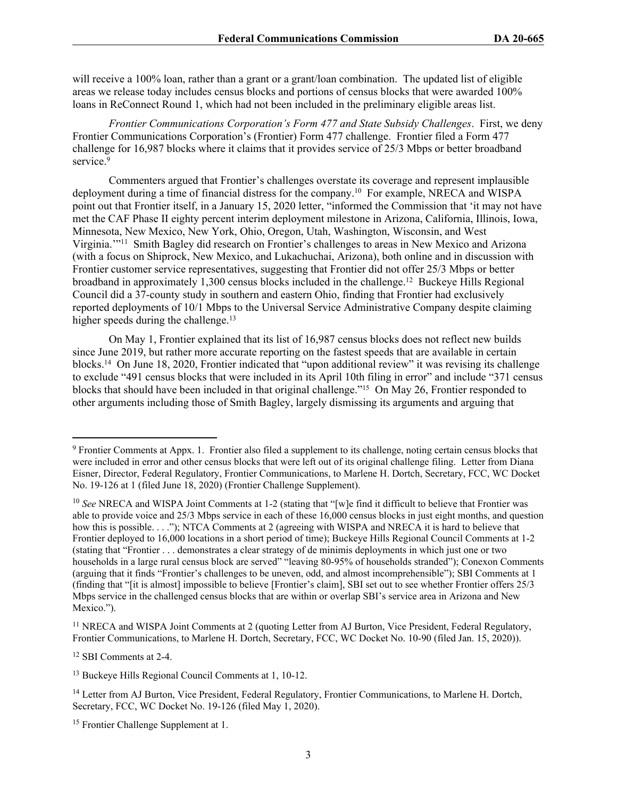will receive a 100% loan, rather than a grant or a grant/loan combination. The updated list of eligible areas we release today includes census blocks and portions of census blocks that were awarded 100% loans in ReConnect Round 1, which had not been included in the preliminary eligible areas list.

*Frontier Communications Corporation's Form 477 and State Subsidy Challenges*. First, we deny Frontier Communications Corporation's (Frontier) Form 477 challenge. Frontier filed a Form 477 challenge for 16,987 blocks where it claims that it provides service of 25/3 Mbps or better broadband service.<sup>9</sup>

Commenters argued that Frontier's challenges overstate its coverage and represent implausible deployment during a time of financial distress for the company.<sup>10</sup> For example, NRECA and WISPA point out that Frontier itself, in a January 15, 2020 letter, "informed the Commission that 'it may not have met the CAF Phase II eighty percent interim deployment milestone in Arizona, California, Illinois, Iowa, Minnesota, New Mexico, New York, Ohio, Oregon, Utah, Washington, Wisconsin, and West Virginia.'"<sup>11</sup> Smith Bagley did research on Frontier's challenges to areas in New Mexico and Arizona (with a focus on Shiprock, New Mexico, and Lukachuchai, Arizona), both online and in discussion with Frontier customer service representatives, suggesting that Frontier did not offer 25/3 Mbps or better broadband in approximately 1,300 census blocks included in the challenge.<sup>12</sup> Buckeye Hills Regional Council did a 37-county study in southern and eastern Ohio, finding that Frontier had exclusively reported deployments of 10/1 Mbps to the Universal Service Administrative Company despite claiming higher speeds during the challenge.<sup>13</sup>

On May 1, Frontier explained that its list of 16,987 census blocks does not reflect new builds since June 2019, but rather more accurate reporting on the fastest speeds that are available in certain blocks.<sup>14</sup> On June 18, 2020, Frontier indicated that "upon additional review" it was revising its challenge to exclude "491 census blocks that were included in its April 10th filing in error" and include "371 census blocks that should have been included in that original challenge."<sup>15</sup> On May 26, Frontier responded to other arguments including those of Smith Bagley, largely dismissing its arguments and arguing that

<sup>12</sup> SBI Comments at 2-4.

<sup>&</sup>lt;sup>9</sup> Frontier Comments at Appx. 1. Frontier also filed a supplement to its challenge, noting certain census blocks that were included in error and other census blocks that were left out of its original challenge filing. Letter from Diana Eisner, Director, Federal Regulatory, Frontier Communications, to Marlene H. Dortch, Secretary, FCC, WC Docket No. 19-126 at 1 (filed June 18, 2020) (Frontier Challenge Supplement).

<sup>&</sup>lt;sup>10</sup> See NRECA and WISPA Joint Comments at 1-2 (stating that "[w]e find it difficult to believe that Frontier was able to provide voice and 25/3 Mbps service in each of these 16,000 census blocks in just eight months, and question how this is possible. . . ."); NTCA Comments at 2 (agreeing with WISPA and NRECA it is hard to believe that Frontier deployed to 16,000 locations in a short period of time); Buckeye Hills Regional Council Comments at 1-2 (stating that "Frontier . . . demonstrates a clear strategy of de minimis deployments in which just one or two households in a large rural census block are served" "leaving 80-95% of households stranded"); Conexon Comments (arguing that it finds "Frontier's challenges to be uneven, odd, and almost incomprehensible"); SBI Comments at 1 (finding that "[it is almost] impossible to believe [Frontier's claim], SBI set out to see whether Frontier offers 25/3 Mbps service in the challenged census blocks that are within or overlap SBI's service area in Arizona and New Mexico.").

<sup>&</sup>lt;sup>11</sup> NRECA and WISPA Joint Comments at 2 (quoting Letter from AJ Burton, Vice President, Federal Regulatory, Frontier Communications, to Marlene H. Dortch, Secretary, FCC, WC Docket No. 10-90 (filed Jan. 15, 2020)).

<sup>13</sup> Buckeye Hills Regional Council Comments at 1, 10-12.

<sup>&</sup>lt;sup>14</sup> Letter from AJ Burton, Vice President, Federal Regulatory, Frontier Communications, to Marlene H. Dortch, Secretary, FCC, WC Docket No. 19-126 (filed May 1, 2020).

<sup>15</sup> Frontier Challenge Supplement at 1.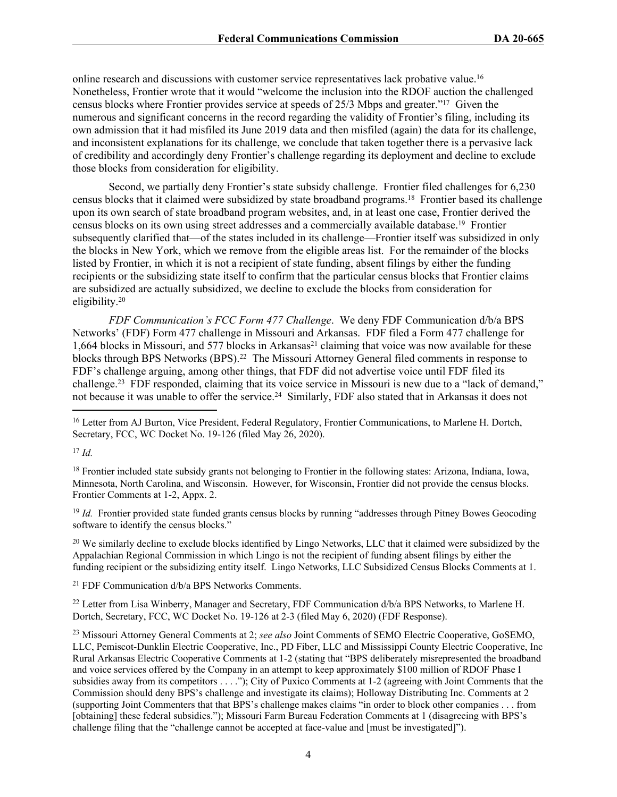online research and discussions with customer service representatives lack probative value.<sup>16</sup> Nonetheless, Frontier wrote that it would "welcome the inclusion into the RDOF auction the challenged census blocks where Frontier provides service at speeds of 25/3 Mbps and greater."<sup>17</sup> Given the numerous and significant concerns in the record regarding the validity of Frontier's filing, including its own admission that it had misfiled its June 2019 data and then misfiled (again) the data for its challenge, and inconsistent explanations for its challenge, we conclude that taken together there is a pervasive lack of credibility and accordingly deny Frontier's challenge regarding its deployment and decline to exclude those blocks from consideration for eligibility.

Second, we partially deny Frontier's state subsidy challenge. Frontier filed challenges for 6,230 census blocks that it claimed were subsidized by state broadband programs.<sup>18</sup> Frontier based its challenge upon its own search of state broadband program websites, and, in at least one case, Frontier derived the census blocks on its own using street addresses and a commercially available database.<sup>19</sup> Frontier subsequently clarified that—of the states included in its challenge—Frontier itself was subsidized in only the blocks in New York, which we remove from the eligible areas list. For the remainder of the blocks listed by Frontier, in which it is not a recipient of state funding, absent filings by either the funding recipients or the subsidizing state itself to confirm that the particular census blocks that Frontier claims are subsidized are actually subsidized, we decline to exclude the blocks from consideration for eligibility.<sup>20</sup>

*FDF Communication's FCC Form 477 Challenge*. We deny FDF Communication d/b/a BPS Networks' (FDF) Form 477 challenge in Missouri and Arkansas. FDF filed a Form 477 challenge for 1,664 blocks in Missouri, and 577 blocks in Arkansas<sup>21</sup> claiming that voice was now available for these blocks through BPS Networks (BPS).<sup>22</sup> The Missouri Attorney General filed comments in response to FDF's challenge arguing, among other things, that FDF did not advertise voice until FDF filed its challenge.<sup>23</sup> FDF responded, claiming that its voice service in Missouri is new due to a "lack of demand," not because it was unable to offer the service.<sup>24</sup> Similarly, FDF also stated that in Arkansas it does not

<sup>17</sup> *Id.*

<sup>18</sup> Frontier included state subsidy grants not belonging to Frontier in the following states: Arizona, Indiana, Iowa, Minnesota, North Carolina, and Wisconsin. However, for Wisconsin, Frontier did not provide the census blocks. Frontier Comments at 1-2, Appx. 2.

<sup>19</sup> *Id.* Frontier provided state funded grants census blocks by running "addresses through Pitney Bowes Geocoding software to identify the census blocks."

<sup>20</sup> We similarly decline to exclude blocks identified by Lingo Networks, LLC that it claimed were subsidized by the Appalachian Regional Commission in which Lingo is not the recipient of funding absent filings by either the funding recipient or the subsidizing entity itself. Lingo Networks, LLC Subsidized Census Blocks Comments at 1.

<sup>21</sup> FDF Communication d/b/a BPS Networks Comments.

<sup>22</sup> Letter from Lisa Winberry, Manager and Secretary, FDF Communication d/b/a BPS Networks, to Marlene H. Dortch, Secretary, FCC, WC Docket No. 19-126 at 2-3 (filed May 6, 2020) (FDF Response).

<sup>23</sup> Missouri Attorney General Comments at 2; *see also* Joint Comments of SEMO Electric Cooperative, GoSEMO, LLC, Pemiscot-Dunklin Electric Cooperative, Inc., PD Fiber, LLC and Mississippi County Electric Cooperative, Inc Rural Arkansas Electric Cooperative Comments at 1-2 (stating that "BPS deliberately misrepresented the broadband and voice services offered by the Company in an attempt to keep approximately \$100 million of RDOF Phase I subsidies away from its competitors . . . ."); City of Puxico Comments at 1-2 (agreeing with Joint Comments that the Commission should deny BPS's challenge and investigate its claims); Holloway Distributing Inc. Comments at 2 (supporting Joint Commenters that that BPS's challenge makes claims "in order to block other companies . . . from [obtaining] these federal subsidies."); Missouri Farm Bureau Federation Comments at 1 (disagreeing with BPS's challenge filing that the "challenge cannot be accepted at face-value and [must be investigated]").

<sup>&</sup>lt;sup>16</sup> Letter from AJ Burton, Vice President, Federal Regulatory, Frontier Communications, to Marlene H. Dortch, Secretary, FCC, WC Docket No. 19-126 (filed May 26, 2020).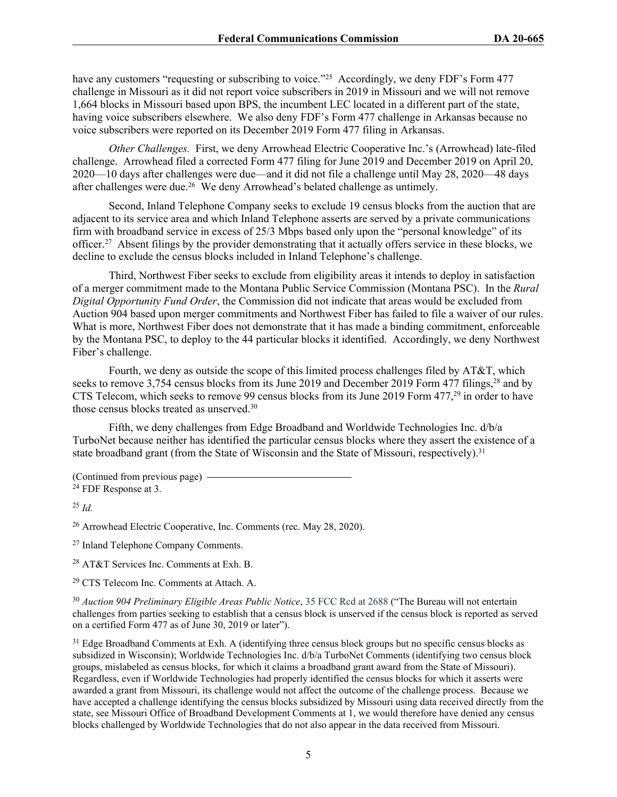have any customers "requesting or subscribing to voice."<sup>25</sup> Accordingly, we deny FDF's Form 477 challenge in Missouri as it did not report voice subscribers in 2019 in Missouri and we will not remove 1,664 blocks in Missouri based upon BPS, the incumbent LEC located in a different part of the state, having voice subscribers elsewhere. We also deny FDF's Form 477 challenge in Arkansas because no voice subscribers were reported on its December 2019 Form 477 filing in Arkansas.

*Other Challenges.* First, we deny Arrowhead Electric Cooperative Inc.'s (Arrowhead) late-filed challenge. Arrowhead filed a corrected Form 477 filing for June 2019 and December 2019 on April 20, 2020—10 days after challenges were due—and it did not file a challenge until May 28, 2020—48 days after challenges were due.<sup>26</sup> We deny Arrowhead's belated challenge as untimely.

Second, Inland Telephone Company seeks to exclude 19 census blocks from the auction that are adjacent to its service area and which Inland Telephone asserts are served by a private communications firm with broadband service in excess of 25/3 Mbps based only upon the "personal knowledge" of its officer.<sup>27</sup> Absent filings by the provider demonstrating that it actually offers service in these blocks, we decline to exclude the census blocks included in Inland Telephone's challenge.

Third, Northwest Fiber seeks to exclude from eligibility areas it intends to deploy in satisfaction of a merger commitment made to the Montana Public Service Commission (Montana PSC). In the *Rural Digital Opportunity Fund Order*, the Commission did not indicate that areas would be excluded from Auction 904 based upon merger commitments and Northwest Fiber has failed to file a waiver of our rules. What is more, Northwest Fiber does not demonstrate that it has made a binding commitment, enforceable by the Montana PSC, to deploy to the 44 particular blocks it identified. Accordingly, we deny Northwest Fiber's challenge.

Fourth, we deny as outside the scope of this limited process challenges filed by AT&T, which seeks to remove 3,754 census blocks from its June 2019 and December 2019 Form 477 filings,<sup>28</sup> and by CTS Telecom, which seeks to remove 99 census blocks from its June 2019 Form 477,<sup>29</sup> in order to have those census blocks treated as unserved.<sup>30</sup>

Fifth, we deny challenges from Edge Broadband and Worldwide Technologies Inc. d/b/a TurboNet because neither has identified the particular census blocks where they assert the existence of a state broadband grant (from the State of Wisconsin and the State of Missouri, respectively).<sup>31</sup>

(Continued from previous page) <sup>24</sup> FDF Response at 3.

<sup>25</sup> *Id.*

<sup>26</sup> Arrowhead Electric Cooperative, Inc. Comments (rec. May 28, 2020).

<sup>27</sup> Inland Telephone Company Comments.

<sup>28</sup> AT&T Services Inc. Comments at Exh. B.

<sup>29</sup> CTS Telecom Inc. Comments at Attach. A.

<sup>30</sup> *Auction 904 Preliminary Eligible Areas Public Notice*, 35 FCC Rcd at 2688 ("The Bureau will not entertain challenges from parties seeking to establish that a census block is unserved if the census block is reported as served on a certified Form 477 as of June 30, 2019 or later").

<sup>31</sup> Edge Broadband Comments at Exh. A (identifying three census block groups but no specific census blocks as subsidized in Wisconsin); Worldwide Technologies Inc. d/b/a TurboNet Comments (identifying two census block groups, mislabeled as census blocks, for which it claims a broadband grant award from the State of Missouri). Regardless, even if Worldwide Technologies had properly identified the census blocks for which it asserts were awarded a grant from Missouri, its challenge would not affect the outcome of the challenge process. Because we have accepted a challenge identifying the census blocks subsidized by Missouri using data received directly from the state, see Missouri Office of Broadband Development Comments at 1, we would therefore have denied any census blocks challenged by Worldwide Technologies that do not also appear in the data received from Missouri.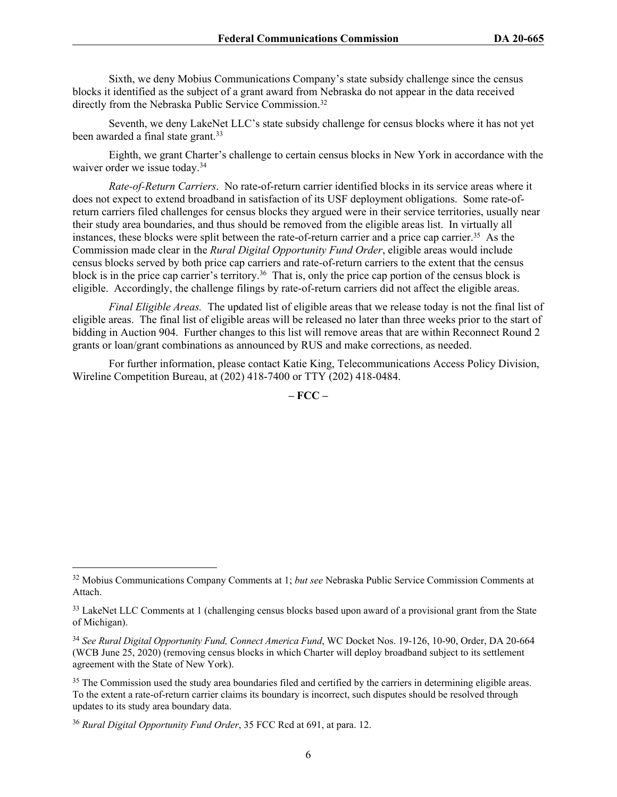Sixth, we deny Mobius Communications Company's state subsidy challenge since the census blocks it identified as the subject of a grant award from Nebraska do not appear in the data received directly from the Nebraska Public Service Commission.<sup>32</sup>

Seventh, we deny LakeNet LLC's state subsidy challenge for census blocks where it has not yet been awarded a final state grant.<sup>33</sup>

Eighth, we grant Charter's challenge to certain census blocks in New York in accordance with the waiver order we issue today.<sup>34</sup>

*Rate-of-Return Carriers*. No rate-of-return carrier identified blocks in its service areas where it does not expect to extend broadband in satisfaction of its USF deployment obligations. Some rate-ofreturn carriers filed challenges for census blocks they argued were in their service territories, usually near their study area boundaries, and thus should be removed from the eligible areas list. In virtually all instances, these blocks were split between the rate-of-return carrier and a price cap carrier.<sup>35</sup> As the Commission made clear in the *Rural Digital Opportunity Fund Order*, eligible areas would include census blocks served by both price cap carriers and rate-of-return carriers to the extent that the census block is in the price cap carrier's territory.<sup>36</sup> That is, only the price cap portion of the census block is eligible. Accordingly, the challenge filings by rate-of-return carriers did not affect the eligible areas.

*Final Eligible Areas.* The updated list of eligible areas that we release today is not the final list of eligible areas. The final list of eligible areas will be released no later than three weeks prior to the start of bidding in Auction 904. Further changes to this list will remove areas that are within Reconnect Round 2 grants or loan/grant combinations as announced by RUS and make corrections, as needed.

For further information, please contact Katie King, Telecommunications Access Policy Division, Wireline Competition Bureau, at (202) 418-7400 or TTY (202) 418-0484.

**– FCC –**

<sup>32</sup> Mobius Communications Company Comments at 1; *but see* Nebraska Public Service Commission Comments at Attach.

<sup>&</sup>lt;sup>33</sup> LakeNet LLC Comments at 1 (challenging census blocks based upon award of a provisional grant from the State of Michigan).

<sup>34</sup> *See Rural Digital Opportunity Fund, Connect America Fund*, WC Docket Nos. 19-126, 10-90, Order, DA 20-664 (WCB June 25, 2020) (removing census blocks in which Charter will deploy broadband subject to its settlement agreement with the State of New York).

<sup>&</sup>lt;sup>35</sup> The Commission used the study area boundaries filed and certified by the carriers in determining eligible areas. To the extent a rate-of-return carrier claims its boundary is incorrect, such disputes should be resolved through updates to its study area boundary data.

<sup>36</sup> *Rural Digital Opportunity Fund Order*, 35 FCC Rcd at 691, at para. 12.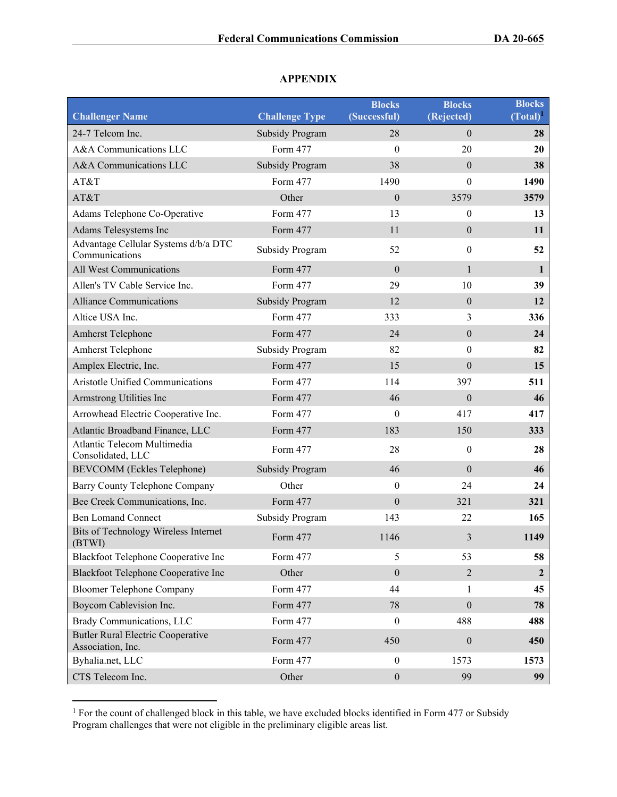## **Challenger Name Challenge Type Blocks (Successful) Blocks (Rejected) Blocks (Total)<sup>1</sup>** 24-7 Telcom Inc. Subsidy Program 28 0 28 A&A Communications LLC Form 477 0 20 20 A&A Communications LLC Subsidy Program 38 0 38 AT&T **Form 477** 1490 0 1490 AT&T **Other 0 3579 3579** 3579 Adams Telephone Co-Operative Form 477 13 0 13 Adams Telesystems Inc Form 477 11 0 11 Advantage Cellular Systems d/b/a DTC Advantage Central Systems d'*ora* DTC Subsidy Program 52 0 52 All West Communications Form 477 0 1 Allen's TV Cable Service Inc. Form 477 29 10 39 Alliance Communications Subsidy Program 12 0 12 Altice USA Inc. 6. **EXAMPLE 19 Inc.** Form 477 333 336 336 336 Amherst Telephone **Form 477** 24 0 24 Amherst Telephone **Subsidy Program** 82 0 82 Amplex Electric, Inc. **Form 477** 15 0 15 Aristotle Unified Communications Form 477 114 397 511 Armstrong Utilities Inc **Form 477** 46 0 46 Arrowhead Electric Cooperative Inc. Form 477 0 417 417 Atlantic Broadband Finance, LLC Form 477 183 150 333 Atlantic Telecom Multimedia Atlantic Ferction Mutumcula **Form 477** 28 0 28 BEVCOMM (Eckles Telephone) Subsidy Program 46 0 46 Barry County Telephone Company **Other 0** 24 24 24 Bee Creek Communications, Inc. Form 477 0 321 321 321 Ben Lomand Connect Subsidy Program 143 22 **165** Bits of Technology Wireless Internet Extra 1149 Torm 477 **1146** 3 **1149**<br>(BTWI) Blackfoot Telephone Cooperative Inc Form 477 5 53 58 Blackfoot Telephone Cooperative Inc Other 0 2 **2** Bloomer Telephone Company Form 477 44 1 1 45 Boycom Cablevision Inc. Form 477 78 0 78 Brady Communications, LLC Form 477 0 488 488 Butler Rural Electric Cooperative Association, Inc. **Association** Inc. **and Association** Inc. **450 6 450 6 450** Byhalia.net, LLC **Form 477** 0 1573 1573 CTS Telecom Inc. Other 0 99 **99**

## **APPENDIX**

<sup>&</sup>lt;sup>1</sup> For the count of challenged block in this table, we have excluded blocks identified in Form 477 or Subsidy Program challenges that were not eligible in the preliminary eligible areas list.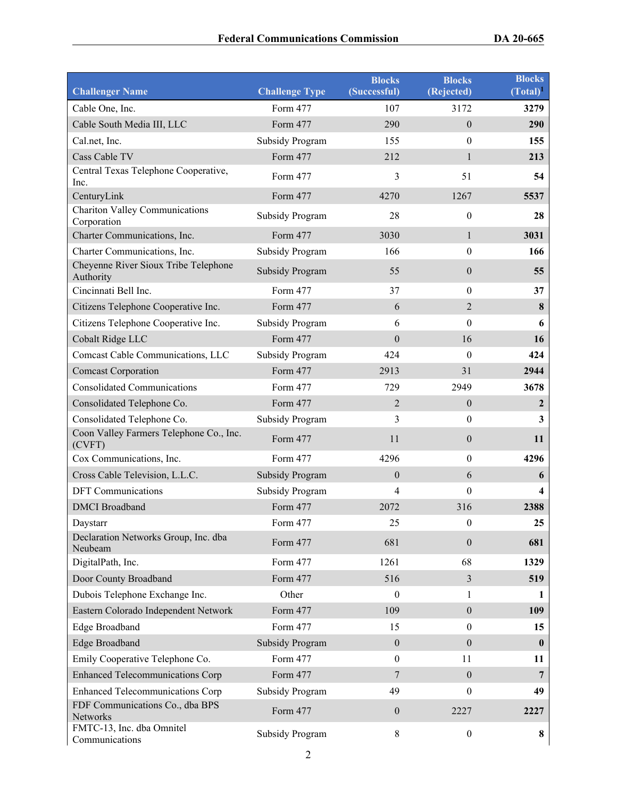| <b>Challenger Name</b>                               | <b>Challenge Type</b>  | <b>Blocks</b><br>(Successful) | <b>Blocks</b><br>(Rejected) | <b>Blocks</b><br>$(Total)^1$ |
|------------------------------------------------------|------------------------|-------------------------------|-----------------------------|------------------------------|
| Cable One, Inc.                                      | Form 477               | 107                           | 3172                        | 3279                         |
| Cable South Media III, LLC                           | Form 477               | 290                           | $\overline{0}$              | 290                          |
| Cal.net, Inc.                                        | <b>Subsidy Program</b> | 155                           | $\boldsymbol{0}$            | 155                          |
| Cass Cable TV                                        | Form 477               | 212                           | $\mathbf{1}$                | 213                          |
| Central Texas Telephone Cooperative,<br>Inc.         | Form 477               | 3                             | 51                          | 54                           |
| CenturyLink                                          | Form 477               | 4270                          | 1267                        | 5537                         |
| <b>Chariton Valley Communications</b><br>Corporation | <b>Subsidy Program</b> | 28                            | $\boldsymbol{0}$            | 28                           |
| Charter Communications, Inc.                         | Form 477               | 3030                          | $\mathbf{1}$                | 3031                         |
| Charter Communications, Inc.                         | <b>Subsidy Program</b> | 166                           | $\boldsymbol{0}$            | 166                          |
| Cheyenne River Sioux Tribe Telephone<br>Authority    | <b>Subsidy Program</b> | 55                            | $\boldsymbol{0}$            | 55                           |
| Cincinnati Bell Inc.                                 | Form 477               | 37                            | $\boldsymbol{0}$            | 37                           |
| Citizens Telephone Cooperative Inc.                  | Form 477               | 6                             | $\overline{2}$              | 8                            |
| Citizens Telephone Cooperative Inc.                  | <b>Subsidy Program</b> | 6                             | $\boldsymbol{0}$            | 6                            |
| Cobalt Ridge LLC                                     | Form 477               | $\boldsymbol{0}$              | 16                          | 16                           |
| Comcast Cable Communications, LLC                    | <b>Subsidy Program</b> | 424                           | $\boldsymbol{0}$            | 424                          |
| <b>Comcast Corporation</b>                           | Form 477               | 2913                          | 31                          | 2944                         |
| <b>Consolidated Communications</b>                   | Form 477               | 729                           | 2949                        | 3678                         |
| Consolidated Telephone Co.                           | Form 477               | $\overline{2}$                | $\boldsymbol{0}$            | 2                            |
| Consolidated Telephone Co.                           | <b>Subsidy Program</b> | 3                             | $\boldsymbol{0}$            | $\overline{\mathbf{3}}$      |
| Coon Valley Farmers Telephone Co., Inc.<br>(CVFT)    | Form 477               | 11                            | $\boldsymbol{0}$            | 11                           |
| Cox Communications, Inc.                             | Form 477               | 4296                          | $\boldsymbol{0}$            | 4296                         |
| Cross Cable Television, L.L.C.                       | <b>Subsidy Program</b> | $\mathbf{0}$                  | 6                           | 6                            |
| <b>DFT</b> Communications                            | <b>Subsidy Program</b> | $\overline{4}$                | $\boldsymbol{0}$            | $\overline{\mathbf{4}}$      |
| <b>DMCI</b> Broadband                                | Form 477               | 2072                          | 316                         | 2388                         |
| Daystarr                                             | Form 477               | 25                            | 0                           | 25                           |
| Declaration Networks Group, Inc. dba<br>Neubeam      | Form 477               | 681                           | $\boldsymbol{0}$            | 681                          |
| DigitalPath, Inc.                                    | Form 477               | 1261                          | 68                          | 1329                         |
| Door County Broadband                                | Form 477               | 516                           | 3                           | 519                          |
| Dubois Telephone Exchange Inc.                       | Other                  | $\boldsymbol{0}$              | $\mathbf{1}$                | 1                            |
| Eastern Colorado Independent Network                 | Form 477               | 109                           | $\boldsymbol{0}$            | 109                          |
| Edge Broadband                                       | Form 477               | 15                            | $\boldsymbol{0}$            | 15                           |
| Edge Broadband                                       | <b>Subsidy Program</b> | $\mathbf{0}$                  | $\overline{0}$              | $\bf{0}$                     |
| Emily Cooperative Telephone Co.                      | Form 477               | $\mathbf{0}$                  | 11                          | 11                           |
| <b>Enhanced Telecommunications Corp</b>              | Form 477               | 7                             | $\boldsymbol{0}$            | 7                            |
| <b>Enhanced Telecommunications Corp</b>              | <b>Subsidy Program</b> | 49                            | $\boldsymbol{0}$            | 49                           |
| FDF Communications Co., dba BPS<br>Networks          | Form 477               | $\boldsymbol{0}$              | 2227                        | 2227                         |
| FMTC-13, Inc. dba Omnitel<br>Communications          | <b>Subsidy Program</b> | $8\,$                         | $\boldsymbol{0}$            | 8                            |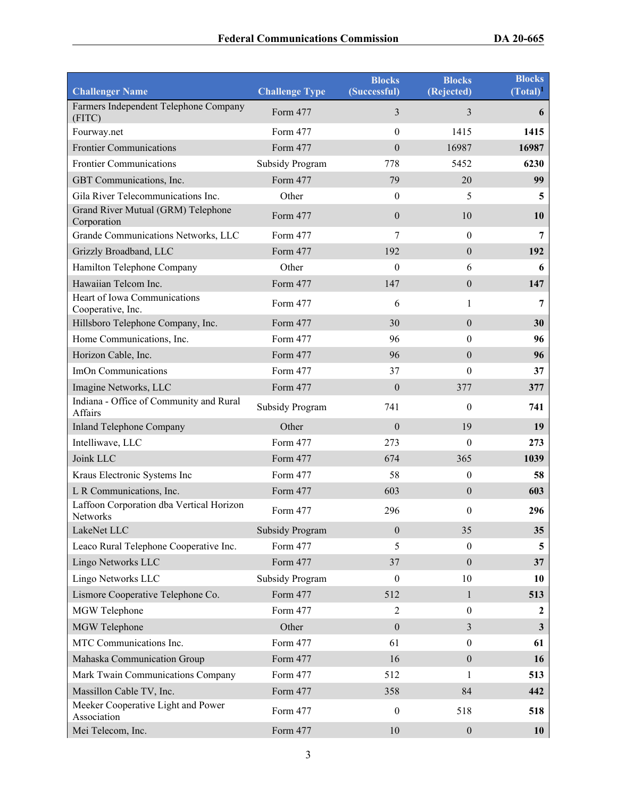| <b>Challenger Name</b>                               | <b>Challenge Type</b>  | <b>Blocks</b><br>(Successful) | <b>Blocks</b><br>(Rejected) | <b>Blocks</b><br>$(Total)^1$ |
|------------------------------------------------------|------------------------|-------------------------------|-----------------------------|------------------------------|
| Farmers Independent Telephone Company<br>(FITC)      | Form 477               | 3                             | 3                           | 6                            |
| Fourway.net                                          | Form 477               | $\theta$                      | 1415                        | 1415                         |
| <b>Frontier Communications</b>                       | Form 477               | $\boldsymbol{0}$              | 16987                       | 16987                        |
| <b>Frontier Communications</b>                       | Subsidy Program        | 778                           | 5452                        | 6230                         |
| GBT Communications, Inc.                             | Form 477               | 79                            | 20                          | 99                           |
| Gila River Telecommunications Inc.                   | Other                  | $\boldsymbol{0}$              | 5                           | 5                            |
| Grand River Mutual (GRM) Telephone<br>Corporation    | Form 477               | $\mathbf{0}$                  | 10                          | 10                           |
| Grande Communications Networks, LLC                  | Form 477               | 7                             | $\boldsymbol{0}$            | 7                            |
| Grizzly Broadband, LLC                               | Form 477               | 192                           | $\boldsymbol{0}$            | 192                          |
| Hamilton Telephone Company                           | Other                  | $\boldsymbol{0}$              | 6                           | 6                            |
| Hawaiian Telcom Inc.                                 | Form 477               | 147                           | $\mathbf{0}$                | 147                          |
| Heart of Iowa Communications<br>Cooperative, Inc.    | Form 477               | 6                             | $\mathbf{1}$                | 7                            |
| Hillsboro Telephone Company, Inc.                    | Form 477               | 30                            | $\mathbf{0}$                | 30                           |
| Home Communications, Inc.                            | Form 477               | 96                            | $\theta$                    | 96                           |
| Horizon Cable, Inc.                                  | Form 477               | 96                            | $\theta$                    | 96                           |
| ImOn Communications                                  | Form 477               | 37                            | $\boldsymbol{0}$            | 37                           |
| Imagine Networks, LLC                                | Form 477               | $\mathbf{0}$                  | 377                         | 377                          |
| Indiana - Office of Community and Rural<br>Affairs   | <b>Subsidy Program</b> | 741                           | $\mathbf{0}$                | 741                          |
| <b>Inland Telephone Company</b>                      | Other                  | $\mathbf{0}$                  | 19                          | 19                           |
| Intelliwave, LLC                                     | Form 477               | 273                           | $\mathbf{0}$                | 273                          |
| Joink LLC                                            | Form 477               | 674                           | 365                         | 1039                         |
| Kraus Electronic Systems Inc                         | Form 477               | 58                            | $\mathbf{0}$                | 58                           |
| L R Communications, Inc.                             | Form 477               | 603                           | $\mathbf{0}$                | 603                          |
| Laffoon Corporation dba Vertical Horizon<br>Networks | Form 477               | 296                           | $\boldsymbol{0}$            | 296                          |
| LakeNet LLC                                          | <b>Subsidy Program</b> | $\theta$                      | 35                          | 35                           |
| Leaco Rural Telephone Cooperative Inc.               | Form 477               | 5                             | $\boldsymbol{0}$            | 5                            |
| Lingo Networks LLC                                   | Form 477               | 37                            | $\boldsymbol{0}$            | 37                           |
| Lingo Networks LLC                                   | <b>Subsidy Program</b> | $\theta$                      | 10                          | 10                           |
| Lismore Cooperative Telephone Co.                    | Form 477               | 512                           | $\mathbf{1}$                | 513                          |
| MGW Telephone                                        | Form 477               | $\overline{2}$                | $\boldsymbol{0}$            | 2                            |
| MGW Telephone                                        | Other                  | $\theta$                      | 3                           | $\mathbf{3}$                 |
| MTC Communications Inc.                              | Form 477               | 61                            | $\boldsymbol{0}$            | 61                           |
| Mahaska Communication Group                          | Form 477               | 16                            | $\boldsymbol{0}$            | 16                           |
| Mark Twain Communications Company                    | Form 477               | 512                           | 1                           | 513                          |
| Massillon Cable TV, Inc.                             | Form 477               | 358                           | 84                          | 442                          |
| Meeker Cooperative Light and Power<br>Association    | Form 477               | $\boldsymbol{0}$              | 518                         | 518                          |
| Mei Telecom, Inc.                                    | Form 477               | $10\,$                        | $\boldsymbol{0}$            | 10                           |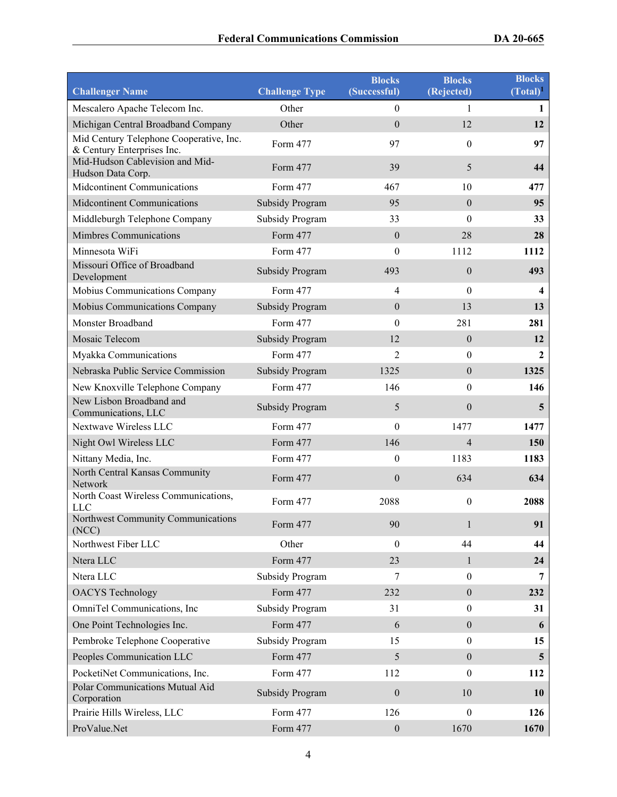| <b>Challenger Name</b>                                                | <b>Challenge Type</b>  | <b>Blocks</b><br>(Successful) | <b>Blocks</b><br>(Rejected) | <b>Blocks</b><br>$(Total)^1$ |
|-----------------------------------------------------------------------|------------------------|-------------------------------|-----------------------------|------------------------------|
| Mescalero Apache Telecom Inc.                                         | Other                  | $\boldsymbol{0}$              | 1                           | 1                            |
| Michigan Central Broadband Company                                    | Other                  | $\mathbf{0}$                  | 12                          | 12                           |
| Mid Century Telephone Cooperative, Inc.<br>& Century Enterprises Inc. | Form 477               | 97                            | $\boldsymbol{0}$            | 97                           |
| Mid-Hudson Cablevision and Mid-<br>Hudson Data Corp.                  | Form 477               | 39                            | 5                           | 44                           |
| Midcontinent Communications                                           | Form 477               | 467                           | 10                          | 477                          |
| <b>Midcontinent Communications</b>                                    | <b>Subsidy Program</b> | 95                            | $\mathbf{0}$                | 95                           |
| Middleburgh Telephone Company                                         | <b>Subsidy Program</b> | 33                            | $\boldsymbol{0}$            | 33                           |
| <b>Mimbres Communications</b>                                         | Form 477               | $\boldsymbol{0}$              | 28                          | 28                           |
| Minnesota WiFi                                                        | Form 477               | $\boldsymbol{0}$              | 1112                        | 1112                         |
| Missouri Office of Broadband<br>Development                           | <b>Subsidy Program</b> | 493                           | $\boldsymbol{0}$            | 493                          |
| Mobius Communications Company                                         | Form 477               | $\overline{4}$                | $\boldsymbol{0}$            | 4                            |
| Mobius Communications Company                                         | <b>Subsidy Program</b> | $\mathbf{0}$                  | 13                          | 13                           |
| Monster Broadband                                                     | Form 477               | $\mathbf{0}$                  | 281                         | 281                          |
| Mosaic Telecom                                                        | <b>Subsidy Program</b> | 12                            | $\boldsymbol{0}$            | 12                           |
| Myakka Communications                                                 | Form 477               | $\overline{2}$                | $\boldsymbol{0}$            | $\mathbf{2}$                 |
| Nebraska Public Service Commission                                    | <b>Subsidy Program</b> | 1325                          | $\mathbf{0}$                | 1325                         |
| New Knoxville Telephone Company                                       | Form 477               | 146                           | $\boldsymbol{0}$            | 146                          |
| New Lisbon Broadband and<br>Communications, LLC                       | Subsidy Program        | 5                             | $\boldsymbol{0}$            | 5                            |
| Nextwave Wireless LLC                                                 | Form 477               | $\mathbf{0}$                  | 1477                        | 1477                         |
| Night Owl Wireless LLC                                                | Form 477               | 146                           | $\overline{4}$              | 150                          |
| Nittany Media, Inc.                                                   | Form 477               | $\boldsymbol{0}$              | 1183                        | 1183                         |
| North Central Kansas Community<br>Network                             | Form 477               | $\boldsymbol{0}$              | 634                         | 634                          |
| North Coast Wireless Communications,<br><b>LLC</b>                    | Form 477               | 2088                          | $\boldsymbol{0}$            | 2088                         |
| Northwest Community Communications<br>(NCC)                           | Form 477               | 90                            | $\mathbf{1}$                | 91                           |
| Northwest Fiber LLC                                                   | Other                  | $\theta$                      | 44                          | 44                           |
| Ntera LLC                                                             | Form 477               | 23                            | $\mathbf{1}$                | 24                           |
| Ntera LLC                                                             | <b>Subsidy Program</b> | $\tau$                        | $\boldsymbol{0}$            | $\overline{7}$               |
| <b>OACYS</b> Technology                                               | Form 477               | 232                           | $\boldsymbol{0}$            | 232                          |
| OmniTel Communications, Inc                                           | <b>Subsidy Program</b> | 31                            | $\boldsymbol{0}$            | 31                           |
| One Point Technologies Inc.                                           | Form 477               | 6                             | $\boldsymbol{0}$            | 6                            |
| Pembroke Telephone Cooperative                                        | <b>Subsidy Program</b> | 15                            | $\mathbf{0}$                | 15                           |
| Peoples Communication LLC                                             | Form 477               | 5                             | $\boldsymbol{0}$            | $\overline{\mathbf{5}}$      |
| PocketiNet Communications, Inc.                                       | Form 477               | 112                           | $\boldsymbol{0}$            | 112                          |
| Polar Communications Mutual Aid<br>Corporation                        | <b>Subsidy Program</b> | $\boldsymbol{0}$              | 10                          | <b>10</b>                    |
| Prairie Hills Wireless, LLC                                           | Form 477               | 126                           | $\boldsymbol{0}$            | 126                          |
| ProValue.Net                                                          | Form 477               | $\boldsymbol{0}$              | 1670                        | 1670                         |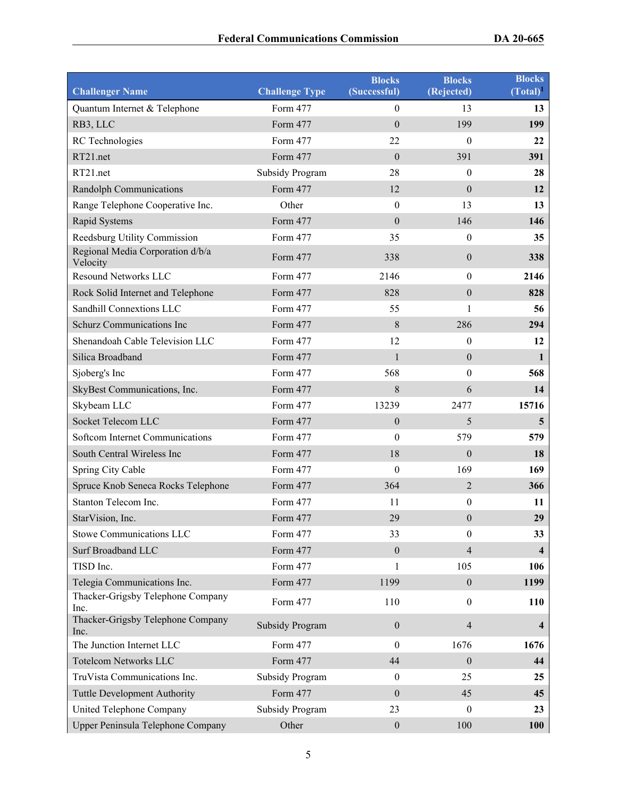| <b>Challenger Name</b>                       | <b>Challenge Type</b>  | <b>Blocks</b><br>(Successful) | <b>Blocks</b><br>(Rejected) | <b>Blocks</b><br>$(Total)^1$ |
|----------------------------------------------|------------------------|-------------------------------|-----------------------------|------------------------------|
| Quantum Internet & Telephone                 | Form 477               | $\overline{0}$                | 13                          | 13                           |
| RB3, LLC                                     | Form 477               | $\overline{0}$                | 199                         | 199                          |
| RC Technologies                              | Form 477               | 22                            | $\boldsymbol{0}$            | 22                           |
| RT21.net                                     | Form 477               | $\boldsymbol{0}$              | 391                         | 391                          |
| RT21.net                                     | <b>Subsidy Program</b> | 28                            | 0                           | 28                           |
| <b>Randolph Communications</b>               | Form 477               | 12                            | $\boldsymbol{0}$            | 12                           |
| Range Telephone Cooperative Inc.             | Other                  | $\mathbf{0}$                  | 13                          | 13                           |
| Rapid Systems                                | Form 477               | $\overline{0}$                | 146                         | 146                          |
| Reedsburg Utility Commission                 | Form 477               | 35                            | $\boldsymbol{0}$            | 35                           |
| Regional Media Corporation d/b/a<br>Velocity | Form 477               | 338                           | $\boldsymbol{0}$            | 338                          |
| <b>Resound Networks LLC</b>                  | Form 477               | 2146                          | $\boldsymbol{0}$            | 2146                         |
| Rock Solid Internet and Telephone            | Form 477               | 828                           | $\boldsymbol{0}$            | 828                          |
| Sandhill Connextions LLC                     | Form 477               | 55                            | 1                           | 56                           |
| Schurz Communications Inc                    | Form 477               | 8                             | 286                         | 294                          |
| Shenandoah Cable Television LLC              | Form 477               | 12                            | 0                           | 12                           |
| Silica Broadband                             | Form 477               | $\mathbf{1}$                  | $\boldsymbol{0}$            | 1                            |
| Sjoberg's Inc                                | Form 477               | 568                           | $\boldsymbol{0}$            | 568                          |
| SkyBest Communications, Inc.                 | Form 477               | 8                             | 6                           | 14                           |
| Skybeam LLC                                  | Form 477               | 13239                         | 2477                        | 15716                        |
| Socket Telecom LLC                           | Form 477               | $\boldsymbol{0}$              | 5                           | 5                            |
| Softcom Internet Communications              | Form 477               | $\theta$                      | 579                         | 579                          |
| South Central Wireless Inc                   | Form 477               | 18                            | $\boldsymbol{0}$            | <b>18</b>                    |
| Spring City Cable                            | Form 477               | 0                             | 169                         | 169                          |
| Spruce Knob Seneca Rocks Telephone           | Form 477               | 364                           | $\overline{2}$              | 366                          |
| Stanton Telecom Inc.                         | Form 477               | 11                            | $\boldsymbol{0}$            | 11                           |
| StarVision, Inc.                             | Form 477               | 29                            | $\boldsymbol{0}$            | 29                           |
| Stowe Communications LLC                     | Form 477               | 33                            | $\boldsymbol{0}$            | 33                           |
| Surf Broadband LLC                           | Form 477               | $\boldsymbol{0}$              | 4                           | $\overline{\mathbf{4}}$      |
| TISD Inc.                                    | Form 477               | 1                             | 105                         | 106                          |
| Telegia Communications Inc.                  | Form 477               | 1199                          | $\overline{0}$              | 1199                         |
| Thacker-Grigsby Telephone Company<br>Inc.    | Form 477               | 110                           | 0                           | 110                          |
| Thacker-Grigsby Telephone Company<br>Inc.    | <b>Subsidy Program</b> | $\boldsymbol{0}$              | 4                           | 4                            |
| The Junction Internet LLC                    | Form 477               | $\mathbf{0}$                  | 1676                        | 1676                         |
| <b>Totelcom Networks LLC</b>                 | Form 477               | 44                            | $\boldsymbol{0}$            | 44                           |
| TruVista Communications Inc.                 | <b>Subsidy Program</b> | $\mathbf{0}$                  | 25                          | 25                           |
| <b>Tuttle Development Authority</b>          | Form 477               | $\boldsymbol{0}$              | 45                          | 45                           |
| United Telephone Company                     | <b>Subsidy Program</b> | 23                            | $\boldsymbol{0}$            | 23                           |
| Upper Peninsula Telephone Company            | Other                  | $\boldsymbol{0}$              | 100                         | 100                          |